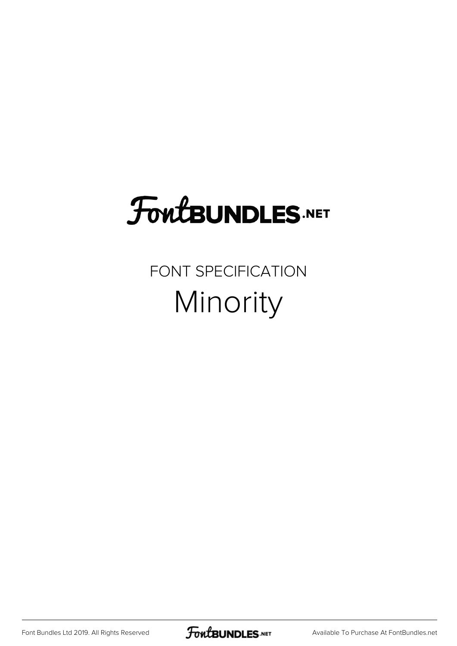## FoutBUNDLES.NET

#### FONT SPECIFICATION Minority

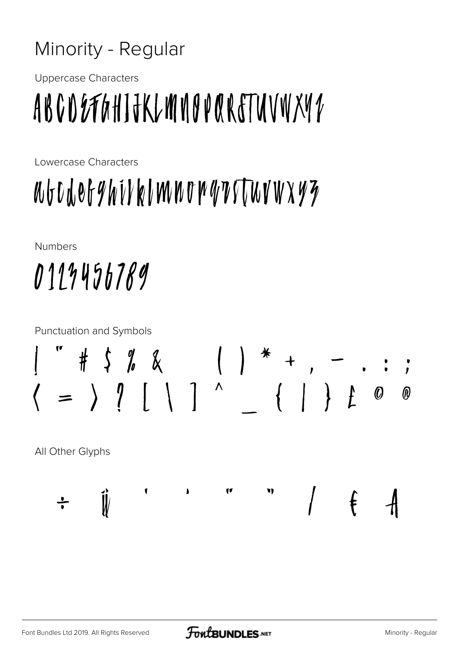#### Minority - Regular

**Uppercase Characters** 

# ABCDEFGHIJKLMNOPQRETUVWXYZ

Lowercase Characters

## WGUWOGYWYKIMNOWYTTWYWXYZ

**Numbers** 

# 0113456789

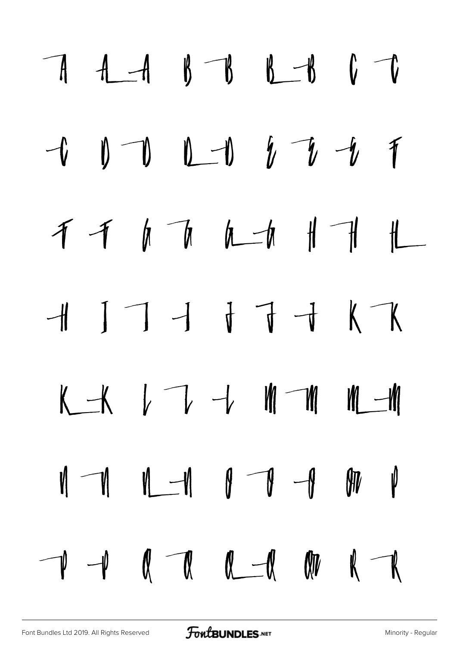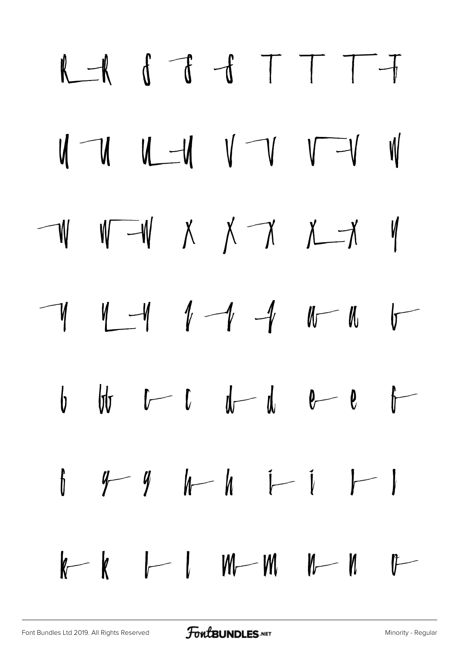